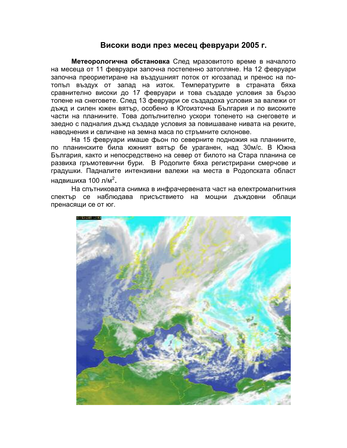## Високи води през месец февруари 2005 г.

Метеорологична обстановка След мразовитото време в началото на месеца от 11 февруари започна постепенно затопляне. На 12 февруари започна преориетиране на въздушният поток от югозапад и пренос на потопъл въздух от запад на изток. Температурите в страната бяха сравнително високи до 17 февруари и това създаде условия за бързо топене на снеговете. След 13 февруари се създадоха условия за валежи от дъжд и силен южен вятър, особено в Югоизточна България и по високите части на планините. Това допълнително ускори топенето на снеговете и заедно с падналия дъжд създаде условия за повишаване нивата на реките. наводнения и свличане на земна маса по стръмните склонове.

На 15 февруари имаше фьон по северните подножия на планините, по планинските била южният вятър бе ураганен, над 30м/с. В Южна България, както и непосредствено на север от билото на Стара планина се развиха гръмотевични бури. В Родопите бяха регистрирани смерчове и градушки. Падналите интензивни валежи на места в Родопската област надвишиха 100 л/м<sup>2</sup>.

На спътниковата снимка в инфрачервената част на електромагнитния спектър се наблюдава присъствието на мощни дъждовни облаци пренасящи се от юг.

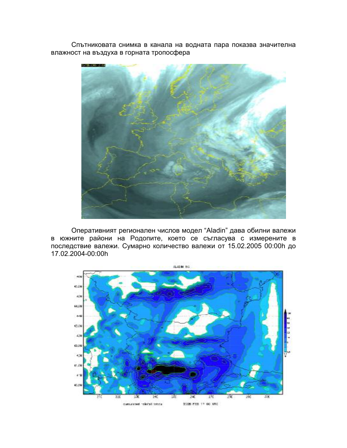Спътниковата снимка в канала на водната пара показва значителна влажност на въздуха в горната тропосфера



Оперативният регионален числов модел "Aladin" дава обилни валежи в южните райони на Родопите, което се съгласува с измерените в последствие валежи. Сумарно количество валежи от 15.02.2005 00:00h до 17.02.2004-00:00h

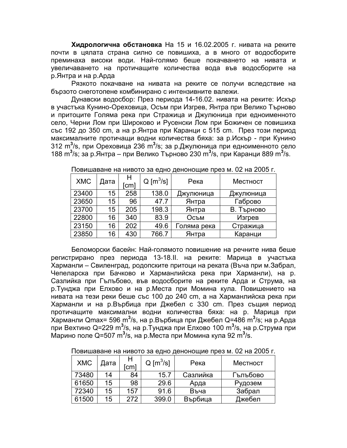**Хидрологична обстановка** На 15 и 16.02.2005 г. нивата на реките почти в цялата страна силно се повишиха, а в много от водосборите преминаха високи води. Най-голямо беше покачването на нивата и увеличаването на протичащите количества вода във водосборите на р.Янтра и на р.Арда

Рязкото покачване на нивата на реките се получи вследствие на бързото снеготопене комбинирано с интензивните валежи.

Дунавски водосбор: През периода 14-16.02. нивата на реките: Искър в участъка Кунино-Ореховица, Осъм при Изгрев, Янтра при Велико Търново и притоците Голяма река при Стражица и Джулюница при едноименното село, Черни Лом при Широково и Русенски Лом при Божичен се повишиха със 192 до 350 cm, а на р.Янтра при Каранци с 515 cm. През този период максималните протичащи водни количества бяха: за р.Искър - при Кунино 312 m<sup>3</sup>/s, при Ореховица 236 m<sup>3</sup>/s; за р.Джулюница при едноименното село 188 m<sup>3</sup>/s; за р.Янтра – при Велико Търново 230 m<sup>3</sup>/s, при Каранци 889 m<sup>3</sup>/s.

| <b>XMC</b> | Дата | н<br>[cm] | $Q \, [\text{m}^3/\text{s}]$ | Река        | Местност   |
|------------|------|-----------|------------------------------|-------------|------------|
| 23400      | 15   | 258       | 138.0                        | Джулюница   | Джулюница  |
| 23650      | 15   | 96        | 47.7                         | Янтра       | Габрово    |
| 23700      | 15   | 205       | 198.3                        | Янтра       | В. Търново |
| 22800      | 16   | 340       | 83.9                         | Осъм        | Изгрев     |
| 23150      | 16   | 202       | 49.6                         | Голяма река | Стражица   |
| 23850      | 16   | 430       | 766.7                        | Янтра       | Каранци    |

Повишаване на нивото за едно денонощие през м. 02 на 2005 г.

Беломорски басейн: Най-голямото повишение на речните нива беше регистрирано през периода 13-18.II. на реките: Марица в участъка Харманли – Свиленград, родопските притоци на реката (Въча при м.Забрал, Чепеларска при Бачково и Харманлийска река при Харманли), на р. Сазлийка при Гълъбово, във водосборите на реките Арда и Струма, на р.Тунджа при Елхово и на р.Места при Момина кула. Повишението на нивата на тези реки беше със 100 до 240 cm, а на Харманлийска река при Харманли и на р.Върбица при Джебел с 330 cm. През същия период протичащите максимални водни количества бяха: на р. Марица при Харманли Qmax= 596 m<sup>3</sup>/s, на р.Върбица при Джебел Q=486 m<sup>3</sup>/s; на р.Арда при Вехтино Q=229 m<sup>3</sup>/s, на р.Тунджа при Елхово 100 m<sup>3</sup>/s, на р.Струма при Марино поле Q=507 m<sup>3</sup>/s, на р.Места при Момина кула 92 m<sup>3</sup>/s.

|--|

| <b>XMC</b> | Дата | cm  | $Q \, [\text{m}^3/\text{s}]$ | Река     | Местност |
|------------|------|-----|------------------------------|----------|----------|
| 73480      | 14   | 84  | 15.7                         | Сазлийка | Гълъбово |
| 61650      | 15   | 98  | 29.6                         | Арда     | Рудозем  |
| 72340      | 15   | 157 | 91.6                         | Въча     | Забрал   |
| 61500      | 15   | 272 | 399.0                        | Върбица  | Джебел   |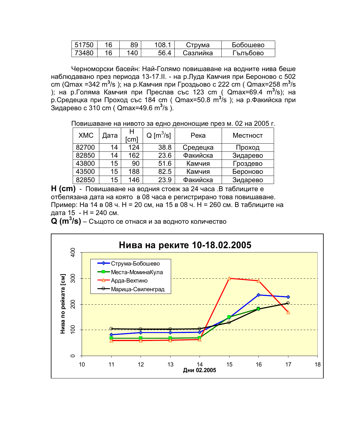| $- - -$<br>-51<br>51 | 16 | 89 |                                       | оума     | Бобошево |
|----------------------|----|----|---------------------------------------|----------|----------|
| 73480 .              | 16 | 40 | - ^<br>$\boldsymbol{\Lambda}$<br>ּוֹס | Сазлийка | ритроово |

Черноморски басейн: Най-Голямо повишаване на водните нива беше наблюдавано през периода 13-17.II. - на р.Луда Камчия при Бероново с 502 cm (Qmax =342 m<sup>3</sup>/s); на р.Камчия при Гроздьово с 222 cm (Qmax=258 m<sup>3</sup>/s ); на р.Голяма Камчия при Преслав със 123 cm ( Qmax=69.4 m<sup>3</sup>/s); на р Средецка при Проход със 184 cm (Qmax=50.8 m<sup>3</sup>/s); на р Факийска при Зидарево с 310 cm ( $Qmax=49.6$  m<sup>3</sup>/s).

Повишаване на нивото за едно денонощие през м. 02 на 2005 г.

| <b>XMC</b> | Дата | н<br>cm) | $Q \, [\text{m}^3/\text{s}]$ | Река     | Местност |
|------------|------|----------|------------------------------|----------|----------|
| 82700      | 14   | 124      | 38.8                         | Средецка | Проход   |
| 82850      | 14   | 162      | 23.6                         | Факийска | Зидарево |
| 43800      | 15   | 90       | 51.6                         | Камчия   | Гроздево |
| 43500      | 15   | 188      | 82.5                         | Камчия   | Бероново |
| 82850      | 15   | 146      | 23.9                         | Факийска | Зидарево |

H (cm) - Повишаване на водния стоеж за 24 часа .В таблиците е отбелязана дата на която в 08 часа е регистрирано това повишаване. Пример: На 14 в 08 ч. Н = 20 см, на 15 в 08 ч. Н = 260 см. В таблиците на дата 15 - Н = 240 см.

 $Q (m^3/s)$  – Същото се отнася и за водното количество